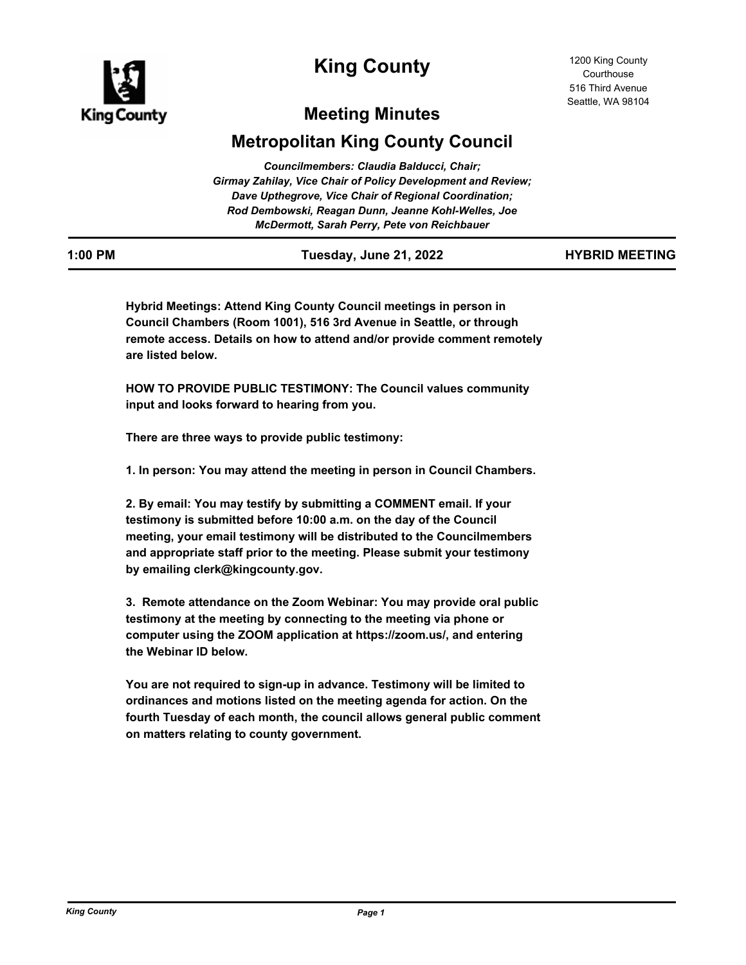

# **King County**

# **Meeting Minutes**

# **Metropolitan King County Council**

| Councilmembers: Claudia Balducci, Chair;                            |
|---------------------------------------------------------------------|
| <b>Girmay Zahilay, Vice Chair of Policy Development and Review;</b> |
| Dave Upthegrove, Vice Chair of Regional Coordination;               |
| Rod Dembowski, Reagan Dunn, Jeanne Kohl-Welles, Joe                 |
| McDermott, Sarah Perry, Pete von Reichbauer                         |

| ווחה ההיו |  |  |
|-----------|--|--|

**1:00 PM Tuesday, June 21, 2022 HYBRID MEETING**

**Hybrid Meetings: Attend King County Council meetings in person in Council Chambers (Room 1001), 516 3rd Avenue in Seattle, or through remote access. Details on how to attend and/or provide comment remotely are listed below.**

**HOW TO PROVIDE PUBLIC TESTIMONY: The Council values community input and looks forward to hearing from you.**

**There are three ways to provide public testimony:**

**1. In person: You may attend the meeting in person in Council Chambers.**

**2. By email: You may testify by submitting a COMMENT email. If your testimony is submitted before 10:00 a.m. on the day of the Council meeting, your email testimony will be distributed to the Councilmembers and appropriate staff prior to the meeting. Please submit your testimony by emailing clerk@kingcounty.gov.**

**3. Remote attendance on the Zoom Webinar: You may provide oral public testimony at the meeting by connecting to the meeting via phone or computer using the ZOOM application at https://zoom.us/, and entering the Webinar ID below.**

**You are not required to sign-up in advance. Testimony will be limited to ordinances and motions listed on the meeting agenda for action. On the fourth Tuesday of each month, the council allows general public comment on matters relating to county government.**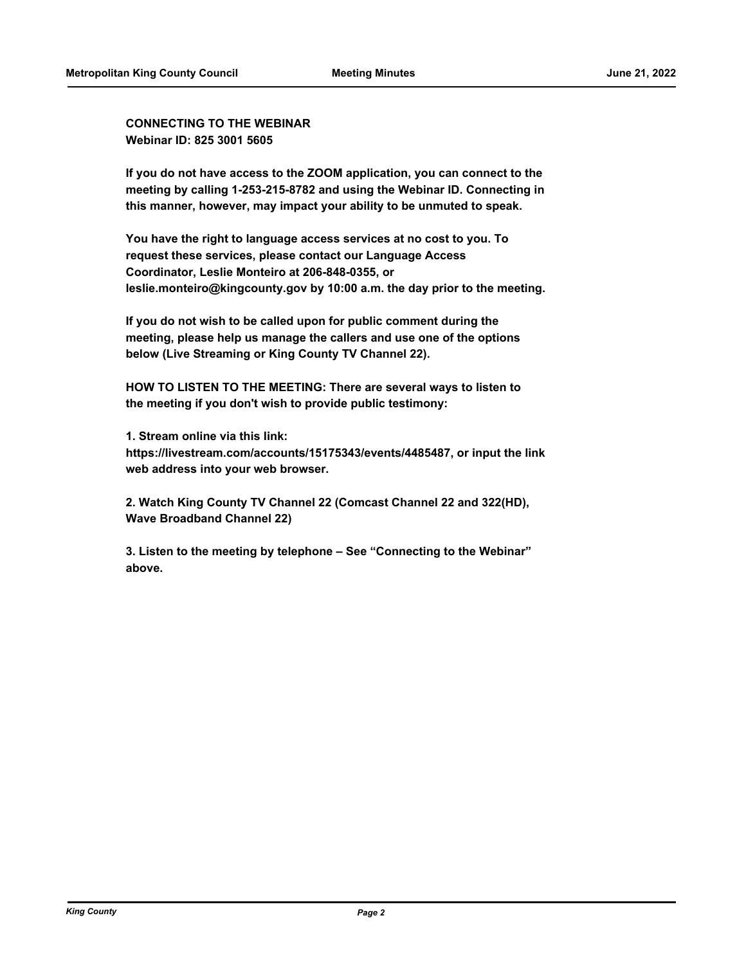**CONNECTING TO THE WEBINAR Webinar ID: 825 3001 5605**

**If you do not have access to the ZOOM application, you can connect to the meeting by calling 1-253-215-8782 and using the Webinar ID. Connecting in this manner, however, may impact your ability to be unmuted to speak.**

**You have the right to language access services at no cost to you. To request these services, please contact our Language Access Coordinator, Leslie Monteiro at 206-848-0355, or leslie.monteiro@kingcounty.gov by 10:00 a.m. the day prior to the meeting.**

**If you do not wish to be called upon for public comment during the meeting, please help us manage the callers and use one of the options below (Live Streaming or King County TV Channel 22).**

**HOW TO LISTEN TO THE MEETING: There are several ways to listen to the meeting if you don't wish to provide public testimony:**

**1. Stream online via this link: https://livestream.com/accounts/15175343/events/4485487, or input the link web address into your web browser.**

**2. Watch King County TV Channel 22 (Comcast Channel 22 and 322(HD), Wave Broadband Channel 22)**

**3. Listen to the meeting by telephone – See "Connecting to the Webinar" above.**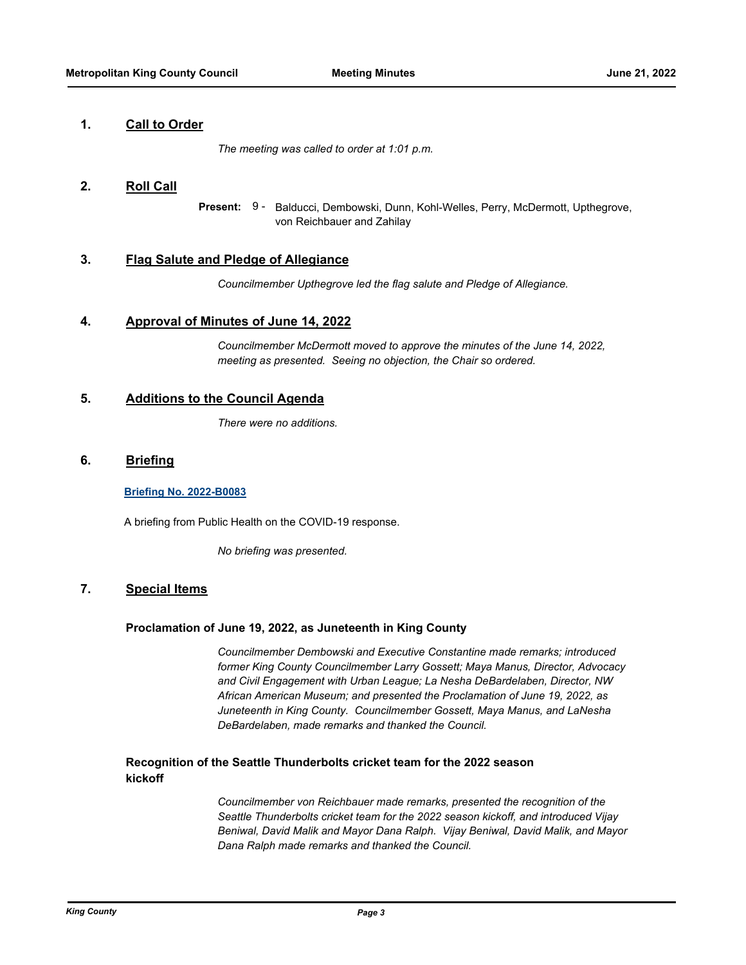### **1. Call to Order**

*The meeting was called to order at 1:01 p.m.*

#### **2. Roll Call**

Balducci, Dembowski, Dunn, Kohl-Welles, Perry, McDermott, Upthegrove, von Reichbauer and Zahilay **Present:** 9 -

#### **3. Flag Salute and Pledge of Allegiance**

*Councilmember Upthegrove led the flag salute and Pledge of Allegiance.*

#### **4. Approval of Minutes of June 14, 2022**

*Councilmember McDermott moved to approve the minutes of the June 14, 2022, meeting as presented. Seeing no objection, the Chair so ordered.*

## **5. Additions to the Council Agenda**

*There were no additions.*

### **6. Briefing**

#### **[Briefing No. 2022-B0083](http://kingcounty.legistar.com/gateway.aspx?m=l&id=/matter.aspx?key=23202)**

A briefing from Public Health on the COVID-19 response.

*No briefing was presented.*

### **7. Special Items**

#### **Proclamation of June 19, 2022, as Juneteenth in King County**

*Councilmember Dembowski and Executive Constantine made remarks; introduced former King County Councilmember Larry Gossett; Maya Manus, Director, Advocacy and Civil Engagement with Urban League; La Nesha DeBardelaben, Director, NW African American Museum; and presented the Proclamation of June 19, 2022, as Juneteenth in King County. Councilmember Gossett, Maya Manus, and LaNesha DeBardelaben, made remarks and thanked the Council.*

### **Recognition of the Seattle Thunderbolts cricket team for the 2022 season kickoff**

*Councilmember von Reichbauer made remarks, presented the recognition of the Seattle Thunderbolts cricket team for the 2022 season kickoff, and introduced Vijay Beniwal, David Malik and Mayor Dana Ralph. Vijay Beniwal, David Malik, and Mayor Dana Ralph made remarks and thanked the Council.*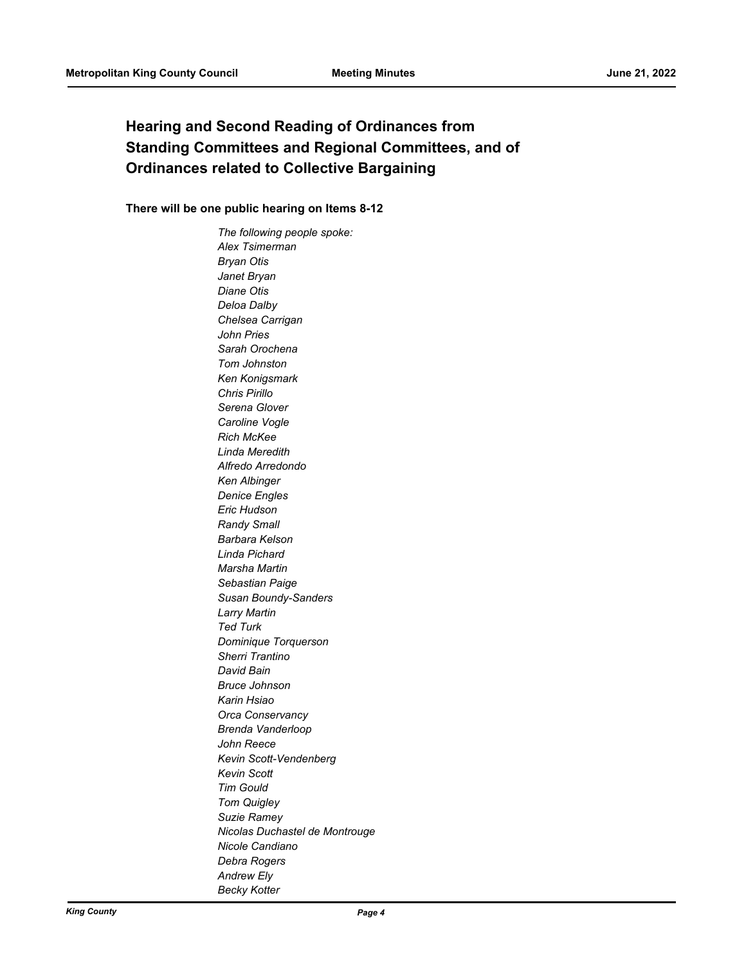# **Hearing and Second Reading of Ordinances from Standing Committees and Regional Committees, and of Ordinances related to Collective Bargaining**

### **There will be one public hearing on Items 8-12**

*The following people spoke: Alex Tsimerman Bryan Otis Janet Bryan Diane Otis Deloa Dalby Chelsea Carrigan John Pries Sarah Orochena Tom Johnston Ken Konigsmark Chris Pirillo Serena Glover Caroline Vogle Rich McKee Linda Meredith Alfredo Arredondo Ken Albinger Denice Engles Eric Hudson Randy Small Barbara Kelson Linda Pichard Marsha Martin Sebastian Paige Susan Boundy-Sanders Larry Martin Ted Turk Dominique Torquerson Sherri Trantino David Bain Bruce Johnson Karin Hsiao Orca Conservancy Brenda Vanderloop John Reece Kevin Scott-Vendenberg Kevin Scott Tim Gould Tom Quigley Suzie Ramey Nicolas Duchastel de Montrouge Nicole Candiano Debra Rogers Andrew Ely Becky Kotter*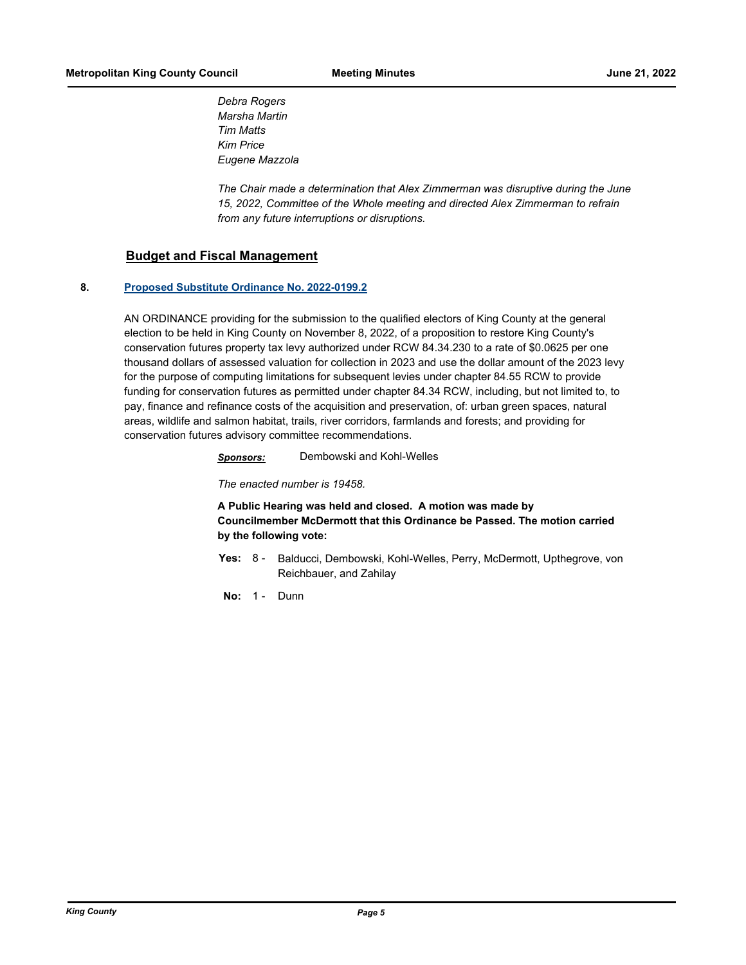*Debra Rogers Marsha Martin Tim Matts Kim Price Eugene Mazzola*

*The Chair made a determination that Alex Zimmerman was disruptive during the June 15, 2022, Committee of the Whole meeting and directed Alex Zimmerman to refrain from any future interruptions or disruptions.*

### **Budget and Fiscal Management**

#### **8. [Proposed Substitute Ordinance No. 2022-0199.2](http://kingcounty.legistar.com/gateway.aspx?m=l&id=/matter.aspx?key=23128)**

AN ORDINANCE providing for the submission to the qualified electors of King County at the general election to be held in King County on November 8, 2022, of a proposition to restore King County's conservation futures property tax levy authorized under RCW 84.34.230 to a rate of \$0.0625 per one thousand dollars of assessed valuation for collection in 2023 and use the dollar amount of the 2023 levy for the purpose of computing limitations for subsequent levies under chapter 84.55 RCW to provide funding for conservation futures as permitted under chapter 84.34 RCW, including, but not limited to, to pay, finance and refinance costs of the acquisition and preservation, of: urban green spaces, natural areas, wildlife and salmon habitat, trails, river corridors, farmlands and forests; and providing for conservation futures advisory committee recommendations.

*Sponsors:* Dembowski and Kohl-Welles

*The enacted number is 19458.*

**A Public Hearing was held and closed. A motion was made by Councilmember McDermott that this Ordinance be Passed. The motion carried by the following vote:**

Yes: 8 - Balducci, Dembowski, Kohl-Welles, Perry, McDermott, Upthegrove, von Reichbauer, and Zahilay

**No:** 1 - Dunn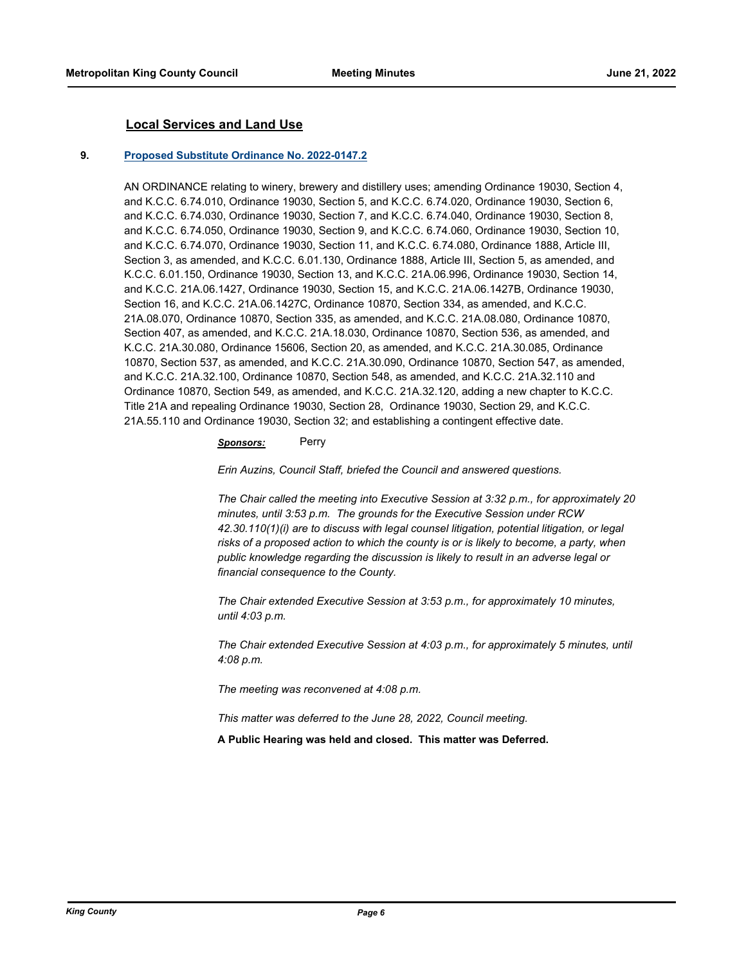#### **Local Services and Land Use**

#### **9. [Proposed Substitute Ordinance No. 2022-0147.2](http://kingcounty.legistar.com/gateway.aspx?m=l&id=/matter.aspx?key=23007)**

AN ORDINANCE relating to winery, brewery and distillery uses; amending Ordinance 19030, Section 4, and K.C.C. 6.74.010, Ordinance 19030, Section 5, and K.C.C. 6.74.020, Ordinance 19030, Section 6, and K.C.C. 6.74.030, Ordinance 19030, Section 7, and K.C.C. 6.74.040, Ordinance 19030, Section 8, and K.C.C. 6.74.050, Ordinance 19030, Section 9, and K.C.C. 6.74.060, Ordinance 19030, Section 10, and K.C.C. 6.74.070, Ordinance 19030, Section 11, and K.C.C. 6.74.080, Ordinance 1888, Article III, Section 3, as amended, and K.C.C. 6.01.130, Ordinance 1888, Article III, Section 5, as amended, and K.C.C. 6.01.150, Ordinance 19030, Section 13, and K.C.C. 21A.06.996, Ordinance 19030, Section 14, and K.C.C. 21A.06.1427, Ordinance 19030, Section 15, and K.C.C. 21A.06.1427B, Ordinance 19030, Section 16, and K.C.C. 21A.06.1427C, Ordinance 10870, Section 334, as amended, and K.C.C. 21A.08.070, Ordinance 10870, Section 335, as amended, and K.C.C. 21A.08.080, Ordinance 10870, Section 407, as amended, and K.C.C. 21A.18.030, Ordinance 10870, Section 536, as amended, and K.C.C. 21A.30.080, Ordinance 15606, Section 20, as amended, and K.C.C. 21A.30.085, Ordinance 10870, Section 537, as amended, and K.C.C. 21A.30.090, Ordinance 10870, Section 547, as amended, and K.C.C. 21A.32.100, Ordinance 10870, Section 548, as amended, and K.C.C. 21A.32.110 and Ordinance 10870, Section 549, as amended, and K.C.C. 21A.32.120, adding a new chapter to K.C.C. Title 21A and repealing Ordinance 19030, Section 28, Ordinance 19030, Section 29, and K.C.C. 21A.55.110 and Ordinance 19030, Section 32; and establishing a contingent effective date.

#### *Sponsors:* Perry

*Erin Auzins, Council Staff, briefed the Council and answered questions.*

*The Chair called the meeting into Executive Session at 3:32 p.m., for approximately 20 minutes, until 3:53 p.m. The grounds for the Executive Session under RCW 42.30.110(1)(i) are to discuss with legal counsel litigation, potential litigation, or legal risks of a proposed action to which the county is or is likely to become, a party, when public knowledge regarding the discussion is likely to result in an adverse legal or financial consequence to the County.*

*The Chair extended Executive Session at 3:53 p.m., for approximately 10 minutes, until 4:03 p.m.*

*The Chair extended Executive Session at 4:03 p.m., for approximately 5 minutes, until 4:08 p.m.*

*The meeting was reconvened at 4:08 p.m.*

*This matter was deferred to the June 28, 2022, Council meeting.*

**A Public Hearing was held and closed. This matter was Deferred.**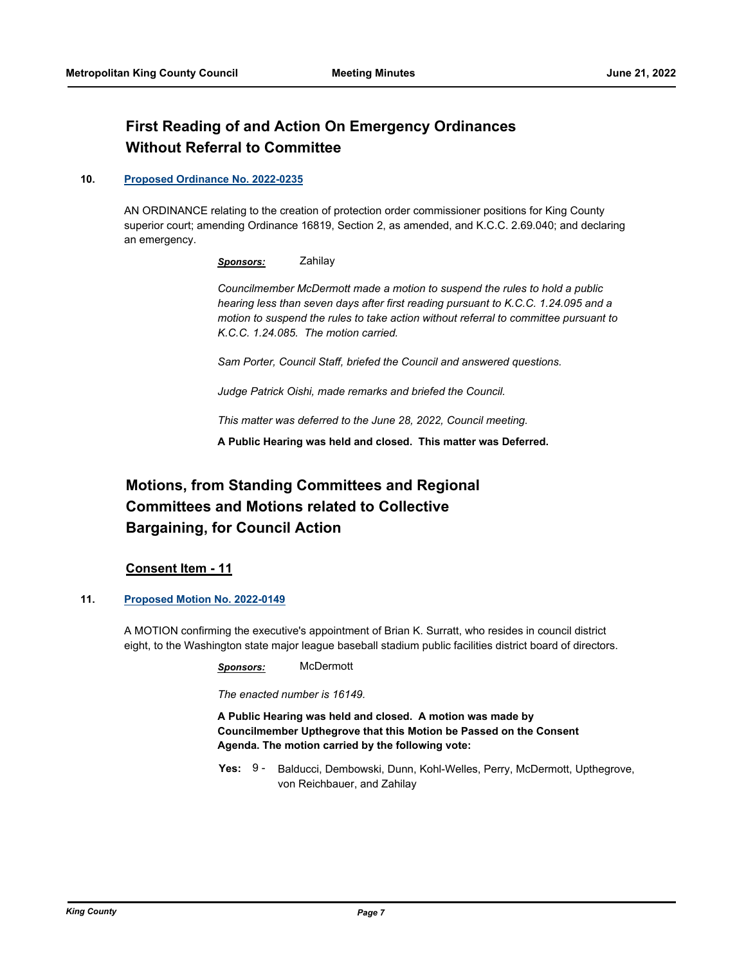# **First Reading of and Action On Emergency Ordinances Without Referral to Committee**

#### **10. [Proposed Ordinance No. 2022-0235](http://kingcounty.legistar.com/gateway.aspx?m=l&id=/matter.aspx?key=23194)**

AN ORDINANCE relating to the creation of protection order commissioner positions for King County superior court; amending Ordinance 16819, Section 2, as amended, and K.C.C. 2.69.040; and declaring an emergency.

*Sponsors:* Zahilay

*Councilmember McDermott made a motion to suspend the rules to hold a public hearing less than seven days after first reading pursuant to K.C.C. 1.24.095 and a motion to suspend the rules to take action without referral to committee pursuant to K.C.C. 1.24.085. The motion carried.*

*Sam Porter, Council Staff, briefed the Council and answered questions.*

*Judge Patrick Oishi, made remarks and briefed the Council.*

*This matter was deferred to the June 28, 2022, Council meeting.*

**A Public Hearing was held and closed. This matter was Deferred.**

# **Motions, from Standing Committees and Regional Committees and Motions related to Collective Bargaining, for Council Action**

### **Consent Item - 11**

#### **11. [Proposed Motion No. 2022-0149](http://kingcounty.legistar.com/gateway.aspx?m=l&id=/matter.aspx?key=23011)**

A MOTION confirming the executive's appointment of Brian K. Surratt, who resides in council district eight, to the Washington state major league baseball stadium public facilities district board of directors.

*Sponsors:* McDermott

*The enacted number is 16149.*

**A Public Hearing was held and closed. A motion was made by Councilmember Upthegrove that this Motion be Passed on the Consent Agenda. The motion carried by the following vote:**

**Yes:** Balducci, Dembowski, Dunn, Kohl-Welles, Perry, McDermott, Upthegrove, von Reichbauer, and Zahilay Yes:  $9 -$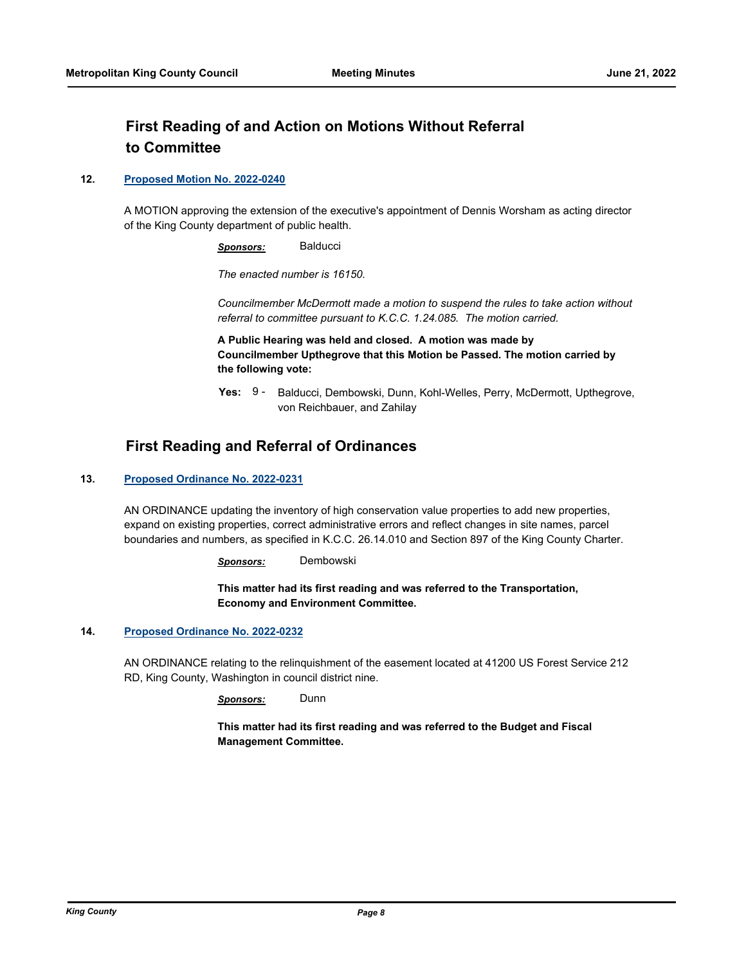# **First Reading of and Action on Motions Without Referral to Committee**

#### **12. [Proposed Motion No. 2022-0240](http://kingcounty.legistar.com/gateway.aspx?m=l&id=/matter.aspx?key=23203)**

A MOTION approving the extension of the executive's appointment of Dennis Worsham as acting director of the King County department of public health.

*Sponsors:* Balducci

*The enacted number is 16150.*

*Councilmember McDermott made a motion to suspend the rules to take action without referral to committee pursuant to K.C.C. 1.24.085. The motion carried.*

**A Public Hearing was held and closed. A motion was made by Councilmember Upthegrove that this Motion be Passed. The motion carried by the following vote:**

Yes: 9 - Balducci, Dembowski, Dunn, Kohl-Welles, Perry, McDermott, Upthegrove, von Reichbauer, and Zahilay

## **First Reading and Referral of Ordinances**

#### **13. [Proposed Ordinance No. 2022-0231](http://kingcounty.legistar.com/gateway.aspx?m=l&id=/matter.aspx?key=23186)**

AN ORDINANCE updating the inventory of high conservation value properties to add new properties, expand on existing properties, correct administrative errors and reflect changes in site names, parcel boundaries and numbers, as specified in K.C.C. 26.14.010 and Section 897 of the King County Charter.

*Sponsors:* Dembowski

**This matter had its first reading and was referred to the Transportation, Economy and Environment Committee.**

#### **14. [Proposed Ordinance No. 2022-0232](http://kingcounty.legistar.com/gateway.aspx?m=l&id=/matter.aspx?key=23187)**

AN ORDINANCE relating to the relinquishment of the easement located at 41200 US Forest Service 212 RD, King County, Washington in council district nine.

*Sponsors:* Dunn

**This matter had its first reading and was referred to the Budget and Fiscal Management Committee.**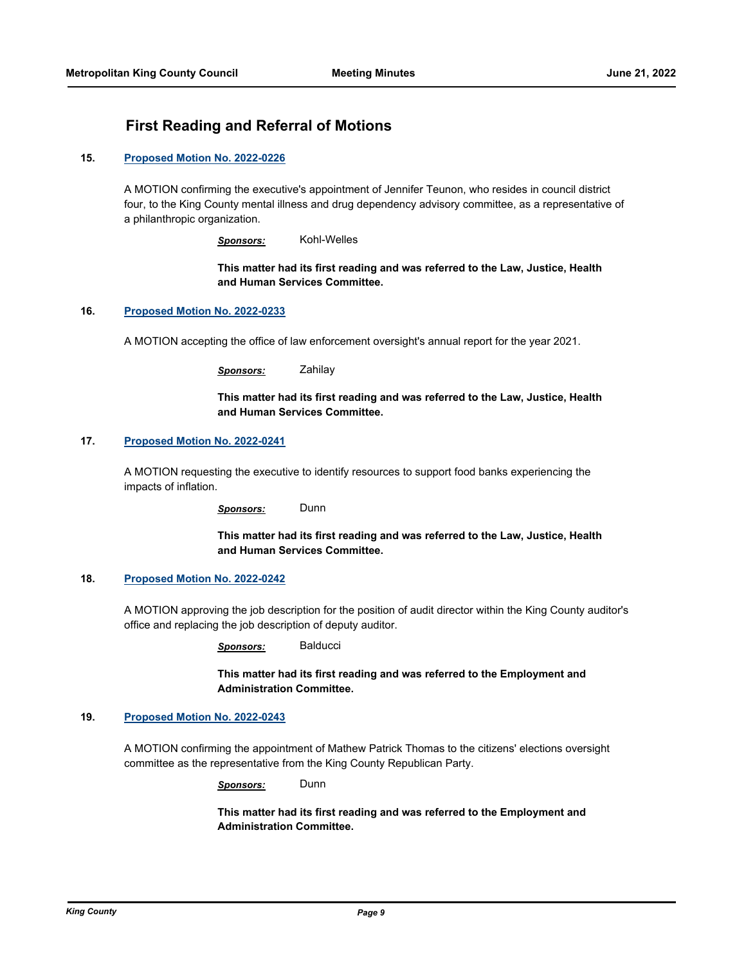# **First Reading and Referral of Motions**

#### **15. [Proposed Motion No. 2022-0226](http://kingcounty.legistar.com/gateway.aspx?m=l&id=/matter.aspx?key=23181)**

A MOTION confirming the executive's appointment of Jennifer Teunon, who resides in council district four, to the King County mental illness and drug dependency advisory committee, as a representative of a philanthropic organization.

*Sponsors:* Kohl-Welles

**This matter had its first reading and was referred to the Law, Justice, Health and Human Services Committee.**

#### **16. [Proposed Motion No. 2022-0233](http://kingcounty.legistar.com/gateway.aspx?m=l&id=/matter.aspx?key=23188)**

A MOTION accepting the office of law enforcement oversight's annual report for the year 2021.

*Sponsors:* Zahilay

**This matter had its first reading and was referred to the Law, Justice, Health and Human Services Committee.**

#### **17. [Proposed Motion No. 2022-0241](http://kingcounty.legistar.com/gateway.aspx?m=l&id=/matter.aspx?key=23204)**

A MOTION requesting the executive to identify resources to support food banks experiencing the impacts of inflation.

*Sponsors:* Dunn

**This matter had its first reading and was referred to the Law, Justice, Health and Human Services Committee.**

#### **18. [Proposed Motion No. 2022-0242](http://kingcounty.legistar.com/gateway.aspx?m=l&id=/matter.aspx?key=23205)**

A MOTION approving the job description for the position of audit director within the King County auditor's office and replacing the job description of deputy auditor.

*Sponsors:* Balducci

**This matter had its first reading and was referred to the Employment and Administration Committee.**

#### **19. [Proposed Motion No. 2022-0243](http://kingcounty.legistar.com/gateway.aspx?m=l&id=/matter.aspx?key=23206)**

A MOTION confirming the appointment of Mathew Patrick Thomas to the citizens' elections oversight committee as the representative from the King County Republican Party.

*Sponsors:* Dunn

**This matter had its first reading and was referred to the Employment and Administration Committee.**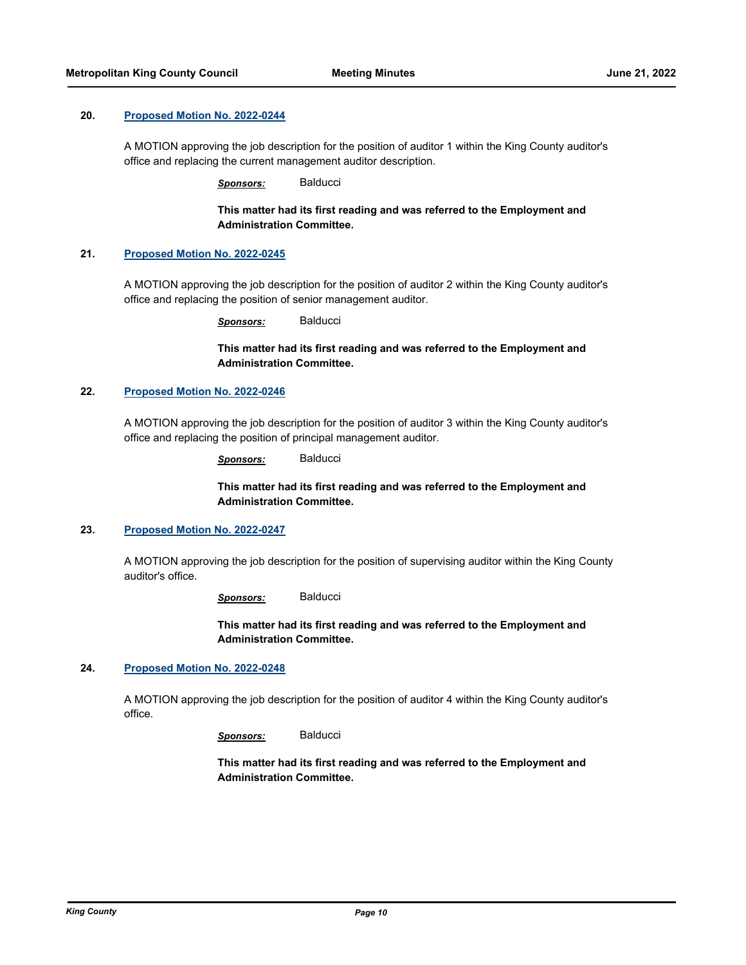#### **20. [Proposed Motion No. 2022-0244](http://kingcounty.legistar.com/gateway.aspx?m=l&id=/matter.aspx?key=23207)**

A MOTION approving the job description for the position of auditor 1 within the King County auditor's office and replacing the current management auditor description.

*Sponsors:* Balducci

**This matter had its first reading and was referred to the Employment and Administration Committee.**

#### **21. [Proposed Motion No. 2022-0245](http://kingcounty.legistar.com/gateway.aspx?m=l&id=/matter.aspx?key=23208)**

A MOTION approving the job description for the position of auditor 2 within the King County auditor's office and replacing the position of senior management auditor.

*Sponsors:* Balducci

**This matter had its first reading and was referred to the Employment and Administration Committee.**

#### **22. [Proposed Motion No. 2022-0246](http://kingcounty.legistar.com/gateway.aspx?m=l&id=/matter.aspx?key=23209)**

A MOTION approving the job description for the position of auditor 3 within the King County auditor's office and replacing the position of principal management auditor.

*Sponsors:* Balducci

#### **This matter had its first reading and was referred to the Employment and Administration Committee.**

#### **23. [Proposed Motion No. 2022-0247](http://kingcounty.legistar.com/gateway.aspx?m=l&id=/matter.aspx?key=23210)**

A MOTION approving the job description for the position of supervising auditor within the King County auditor's office.

*Sponsors:* Balducci

**This matter had its first reading and was referred to the Employment and Administration Committee.**

#### **24. [Proposed Motion No. 2022-0248](http://kingcounty.legistar.com/gateway.aspx?m=l&id=/matter.aspx?key=23211)**

A MOTION approving the job description for the position of auditor 4 within the King County auditor's office.

*Sponsors:* Balducci

**This matter had its first reading and was referred to the Employment and Administration Committee.**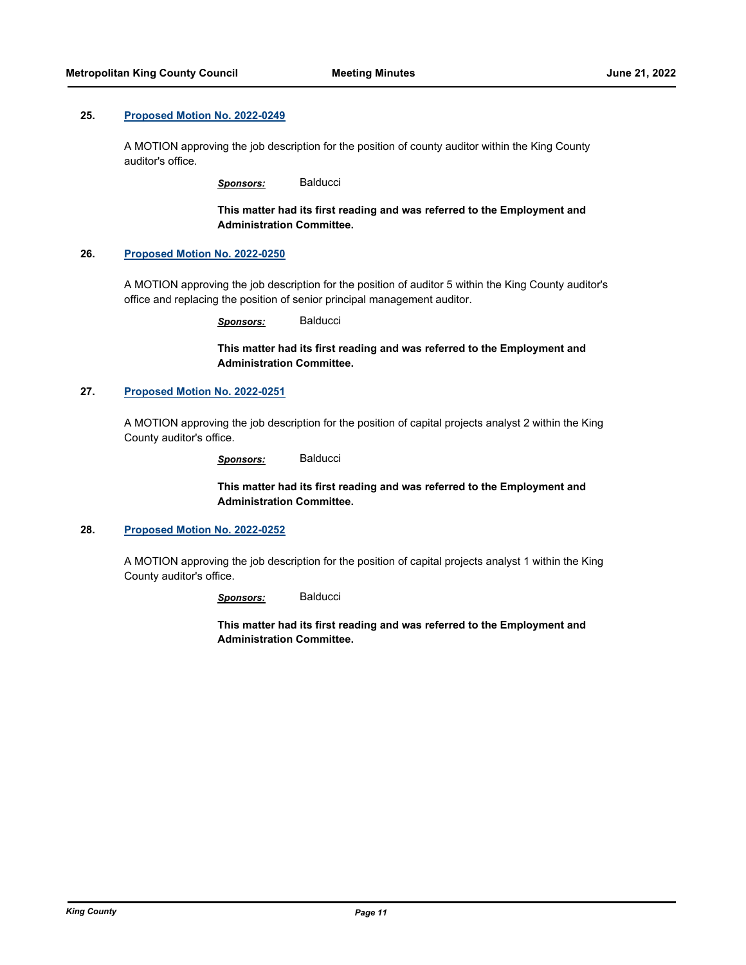#### **25. [Proposed Motion No. 2022-0249](http://kingcounty.legistar.com/gateway.aspx?m=l&id=/matter.aspx?key=23212)**

A MOTION approving the job description for the position of county auditor within the King County auditor's office.

*Sponsors:* Balducci

**This matter had its first reading and was referred to the Employment and Administration Committee.**

#### **26. [Proposed Motion No. 2022-0250](http://kingcounty.legistar.com/gateway.aspx?m=l&id=/matter.aspx?key=23213)**

A MOTION approving the job description for the position of auditor 5 within the King County auditor's office and replacing the position of senior principal management auditor.

*Sponsors:* Balducci

**This matter had its first reading and was referred to the Employment and Administration Committee.**

#### **27. [Proposed Motion No. 2022-0251](http://kingcounty.legistar.com/gateway.aspx?m=l&id=/matter.aspx?key=23214)**

A MOTION approving the job description for the position of capital projects analyst 2 within the King County auditor's office.

*Sponsors:* Balducci

**This matter had its first reading and was referred to the Employment and Administration Committee.**

#### **28. [Proposed Motion No. 2022-0252](http://kingcounty.legistar.com/gateway.aspx?m=l&id=/matter.aspx?key=23215)**

A MOTION approving the job description for the position of capital projects analyst 1 within the King County auditor's office.

*Sponsors:* Balducci

**This matter had its first reading and was referred to the Employment and Administration Committee.**